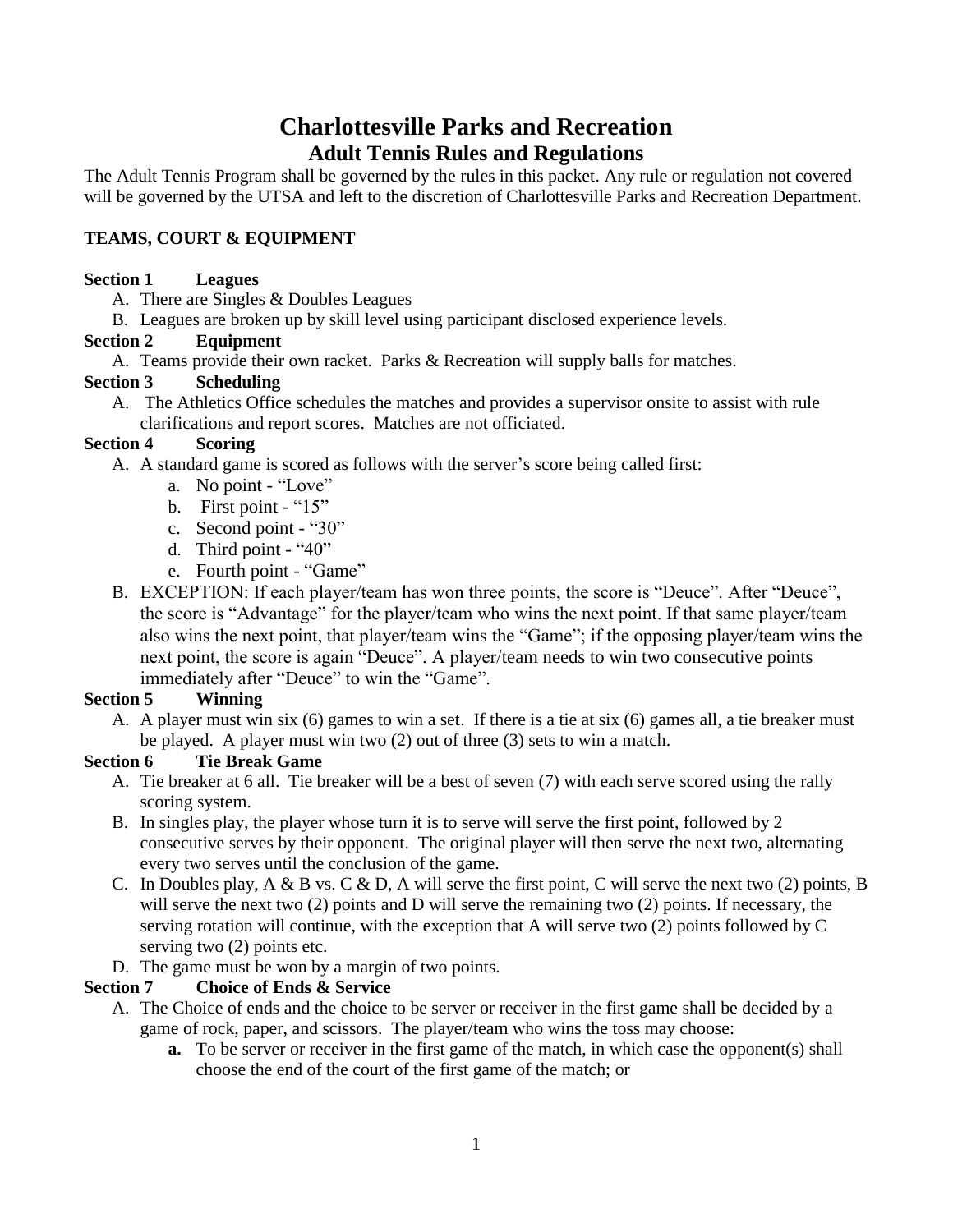# **Charlottesville Parks and Recreation Adult Tennis Rules and Regulations**

The Adult Tennis Program shall be governed by the rules in this packet. Any rule or regulation not covered will be governed by the UTSA and left to the discretion of Charlottesville Parks and Recreation Department.

# **TEAMS, COURT & EQUIPMENT**

## **Section 1 Leagues**

- A. There are Singles & Doubles Leagues
- B. Leagues are broken up by skill level using participant disclosed experience levels.

## **Section 2 Equipment**

A. Teams provide their own racket. Parks & Recreation will supply balls for matches.

## **Section 3 Scheduling**

A. The Athletics Office schedules the matches and provides a supervisor onsite to assist with rule clarifications and report scores. Matches are not officiated.

## **Section 4 Scoring**

- A. A standard game is scored as follows with the server's score being called first:
	- a. No point "Love"
	- b. First point "15"
	- c. Second point "30"
	- d. Third point "40"
	- e. Fourth point "Game"
- B. EXCEPTION: If each player/team has won three points, the score is "Deuce". After "Deuce", the score is "Advantage" for the player/team who wins the next point. If that same player/team also wins the next point, that player/team wins the "Game"; if the opposing player/team wins the next point, the score is again "Deuce". A player/team needs to win two consecutive points immediately after "Deuce" to win the "Game".

# **Section 5 Winning**

A. A player must win six (6) games to win a set. If there is a tie at six (6) games all, a tie breaker must be played. A player must win two (2) out of three (3) sets to win a match.

# **Section 6 Tie Break Game**

- A. Tie breaker at 6 all. Tie breaker will be a best of seven (7) with each serve scored using the rally scoring system.
- B. In singles play, the player whose turn it is to serve will serve the first point, followed by 2 consecutive serves by their opponent. The original player will then serve the next two, alternating every two serves until the conclusion of the game.
- C. In Doubles play,  $A \& B$  vs. C  $\& D$ , A will serve the first point, C will serve the next two (2) points, B will serve the next two (2) points and D will serve the remaining two (2) points. If necessary, the serving rotation will continue, with the exception that A will serve two (2) points followed by C serving two (2) points etc.
- D. The game must be won by a margin of two points.

# **Section 7 Choice of Ends & Service**

- A. The Choice of ends and the choice to be server or receiver in the first game shall be decided by a game of rock, paper, and scissors. The player/team who wins the toss may choose:
	- **a.** To be server or receiver in the first game of the match, in which case the opponent(s) shall choose the end of the court of the first game of the match; or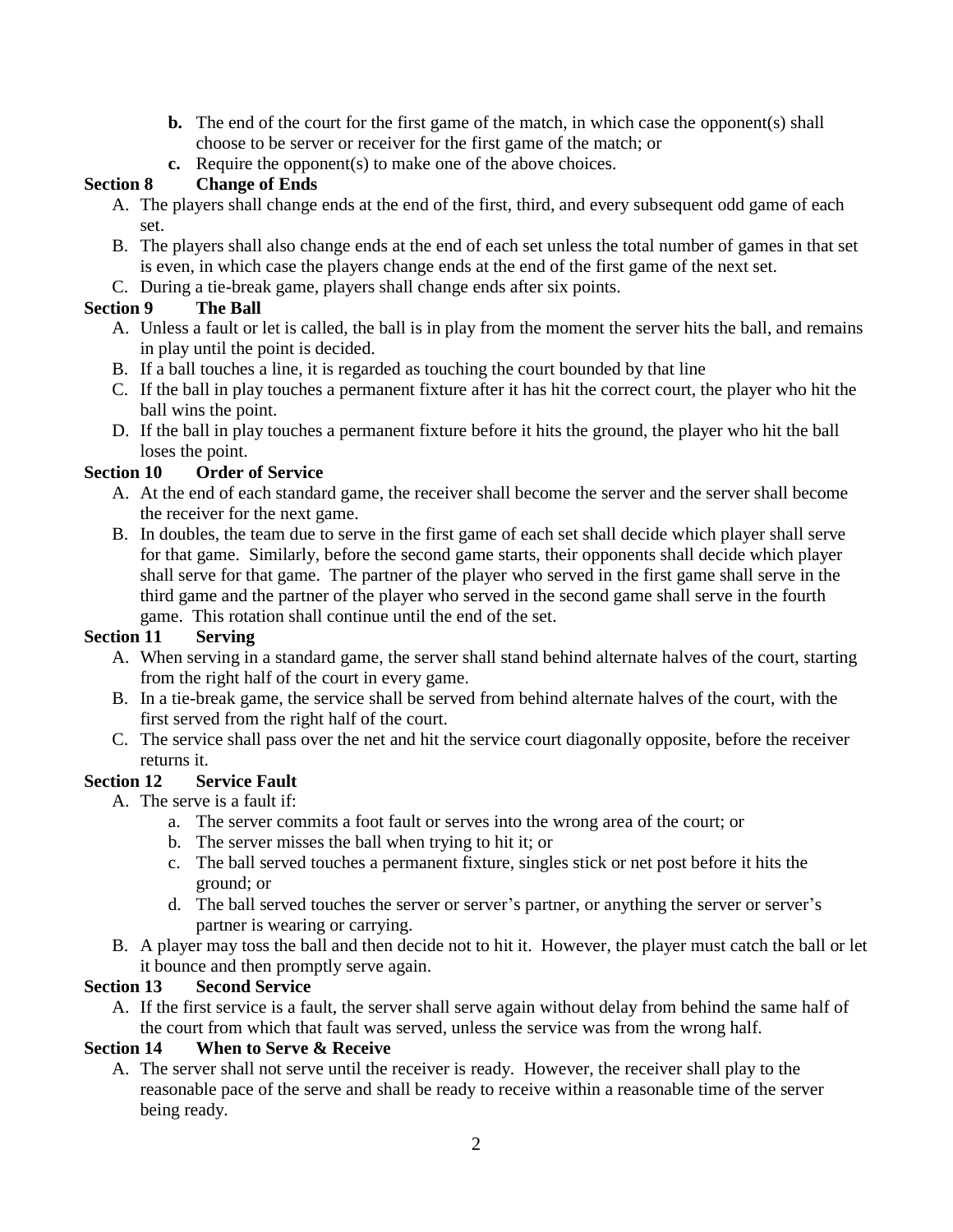- **b.** The end of the court for the first game of the match, in which case the opponent(s) shall choose to be server or receiver for the first game of the match; or
- **c.** Require the opponent(s) to make one of the above choices.

# **Section 8 Change of Ends**

- A. The players shall change ends at the end of the first, third, and every subsequent odd game of each set.
- B. The players shall also change ends at the end of each set unless the total number of games in that set is even, in which case the players change ends at the end of the first game of the next set.
- C. During a tie-break game, players shall change ends after six points.

# **Section 9 The Ball**

- A. Unless a fault or let is called, the ball is in play from the moment the server hits the ball, and remains in play until the point is decided.
- B. If a ball touches a line, it is regarded as touching the court bounded by that line
- C. If the ball in play touches a permanent fixture after it has hit the correct court, the player who hit the ball wins the point.
- D. If the ball in play touches a permanent fixture before it hits the ground, the player who hit the ball loses the point.

# **Section 10 Order of Service**

- A. At the end of each standard game, the receiver shall become the server and the server shall become the receiver for the next game.
- B. In doubles, the team due to serve in the first game of each set shall decide which player shall serve for that game. Similarly, before the second game starts, their opponents shall decide which player shall serve for that game. The partner of the player who served in the first game shall serve in the third game and the partner of the player who served in the second game shall serve in the fourth game. This rotation shall continue until the end of the set.

# **Section 11 Serving**

- A. When serving in a standard game, the server shall stand behind alternate halves of the court, starting from the right half of the court in every game.
- B. In a tie-break game, the service shall be served from behind alternate halves of the court, with the first served from the right half of the court.
- C. The service shall pass over the net and hit the service court diagonally opposite, before the receiver returns it.

# **Section 12 Service Fault**

- A. The serve is a fault if:
	- a. The server commits a foot fault or serves into the wrong area of the court; or
	- b. The server misses the ball when trying to hit it; or
	- c. The ball served touches a permanent fixture, singles stick or net post before it hits the ground; or
	- d. The ball served touches the server or server's partner, or anything the server or server's partner is wearing or carrying.
- B. A player may toss the ball and then decide not to hit it. However, the player must catch the ball or let it bounce and then promptly serve again.

# **Section 13 Second Service**

A. If the first service is a fault, the server shall serve again without delay from behind the same half of the court from which that fault was served, unless the service was from the wrong half.

# **Section 14 When to Serve & Receive**

A. The server shall not serve until the receiver is ready. However, the receiver shall play to the reasonable pace of the serve and shall be ready to receive within a reasonable time of the server being ready.